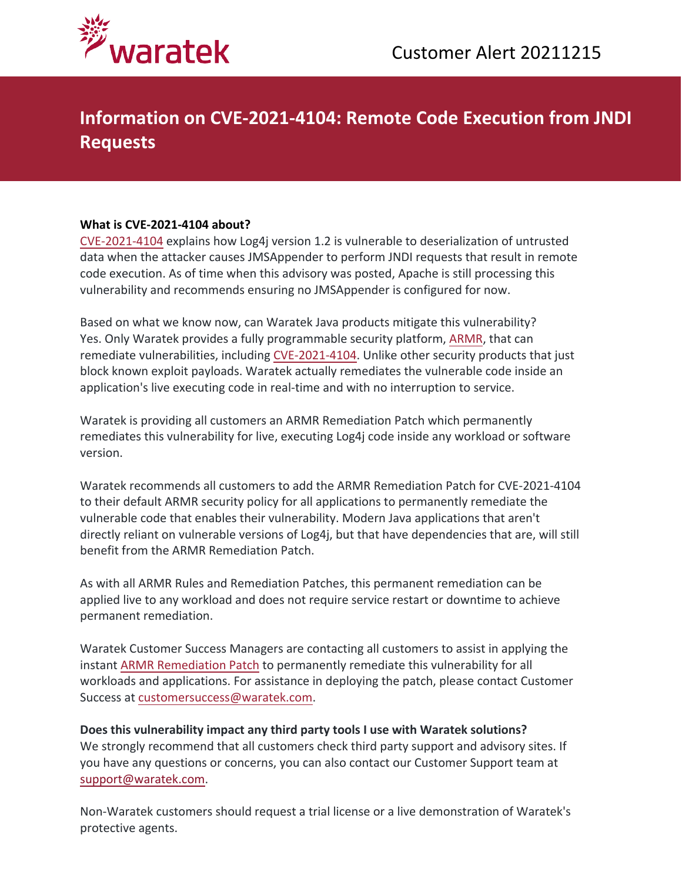

## **Information on CVE-2021-4104: Remote Code Execution from JNDI Requests**

## **What is CVE-2021-4104 about?**

[CVE-2021-4104](https://nvd.nist.gov/vuln/detail/CVE-2021-4104) explains how Log4j version 1.2 is vulnerable to deserialization of untrusted data when the attacker causes JMSAppender to perform JNDI requests that result in remote code execution. As of time when this advisory was posted, Apache is still processing this vulnerability and recommends ensuring no JMSAppender is configured for now.

Based on what we know now, can Waratek Java products mitigate this vulnerability? Yes. Only Waratek provides a fully programmable security platform, [ARMR,](https://www.waratek.com/application-security-platform/) that can remediate vulnerabilities, including [CVE-2021-4104](https://nvd.nist.gov/vuln/detail/CVE-2021-4104). Unlike other security products that just block known exploit payloads. Waratek actually remediates the vulnerable code inside an application's live executing code in real-time and with no interruption to service.

Waratek is providing all customers an ARMR Remediation Patch which permanently remediates this vulnerability for live, executing Log4j code inside any workload or software version.

Waratek recommends all customers to add the ARMR Remediation Patch for CVE-2021-4104 to their default ARMR security policy for all applications to permanently remediate the vulnerable code that enables their vulnerability. Modern Java applications that aren't directly reliant on vulnerable versions of Log4j, but that have dependencies that are, will still benefit from the ARMR Remediation Patch.

As with all ARMR Rules and Remediation Patches, this permanent remediation can be applied live to any workload and does not require service restart or downtime to achieve permanent remediation.

Waratek Customer Success Managers are contacting all customers to assist in applying the instant [ARMR Remediation Patch](https://www.waratek.com/virtual-patching/) to permanently remediate this vulnerability for all workloads and applications. For assistance in deploying the patch, please contact Customer Success at [customersuccess@waratek.com.](mailto:customersuccess@waratek.com)

**Does this vulnerability impact any third party tools I use with Waratek solutions?** We strongly recommend that all customers check third party support and advisory sites. If you have any questions or concerns, you can also contact our Customer Support team at [support@waratek.com](mailto:support@waratek.com).

Non-Waratek customers should request a trial license or a live demonstration of Waratek's protective agents.